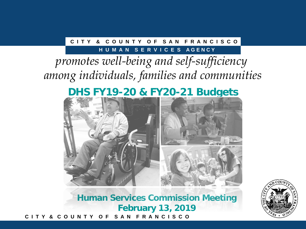### **C I T Y & C O U N T Y O F S A N F R A N C I S C O**

### **HUMAN SERVICES AGENCY**

# *promotes well-being and self-sufficiency among individuals, families and communities*

# **DHS FY19-20 & FY20-21 Budgets**



**C I T Y & C O U N T Y O F S A N F R A N C I S C O Human Services Commission Meeting February 13, 2019**

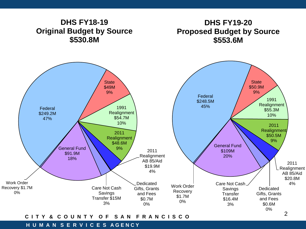

### **C I T Y & C O U N T Y O F S A N F R A N C I S C O**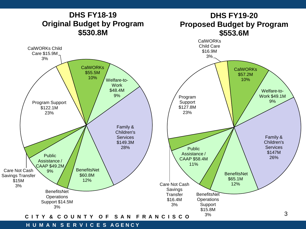

#### **H U M A N S E R V I C E S A G E N C Y**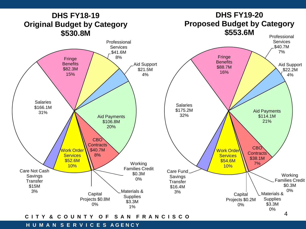

### **C I T Y & C O U N T Y O F S A N F R A N C I S C O**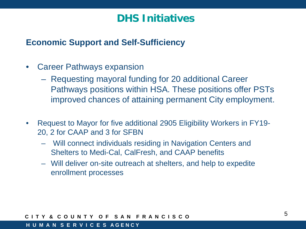# **DHS Initiatives**

### **Economic Support and Self-Sufficiency**

- Career Pathways expansion
	- Requesting mayoral funding for 20 additional Career Pathways positions within HSA. These positions offer PSTs improved chances of attaining permanent City employment.
- Request to Mayor for five additional 2905 Eligibility Workers in FY19- 20, 2 for CAAP and 3 for SFBN
	- Will connect individuals residing in Navigation Centers and Shelters to Medi-Cal, CalFresh, and CAAP benefits
	- Will deliver on-site outreach at shelters, and help to expedite enrollment processes

### **C I T Y & C O U N T Y O F S A N F R A N C I S C O**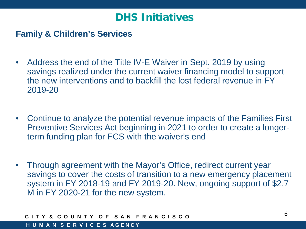# **DHS Initiatives**

### **Family & Children's Services**

- Address the end of the Title IV-E Waiver in Sept. 2019 by using savings realized under the current waiver financing model to support the new interventions and to backfill the lost federal revenue in FY 2019-20
- Continue to analyze the potential revenue impacts of the Families First Preventive Services Act beginning in 2021 to order to create a longerterm funding plan for FCS with the waiver's end
- Through agreement with the Mayor's Office, redirect current year savings to cover the costs of transition to a new emergency placement system in FY 2018-19 and FY 2019-20. New, ongoing support of \$2.7 M in FY 2020-21 for the new system.